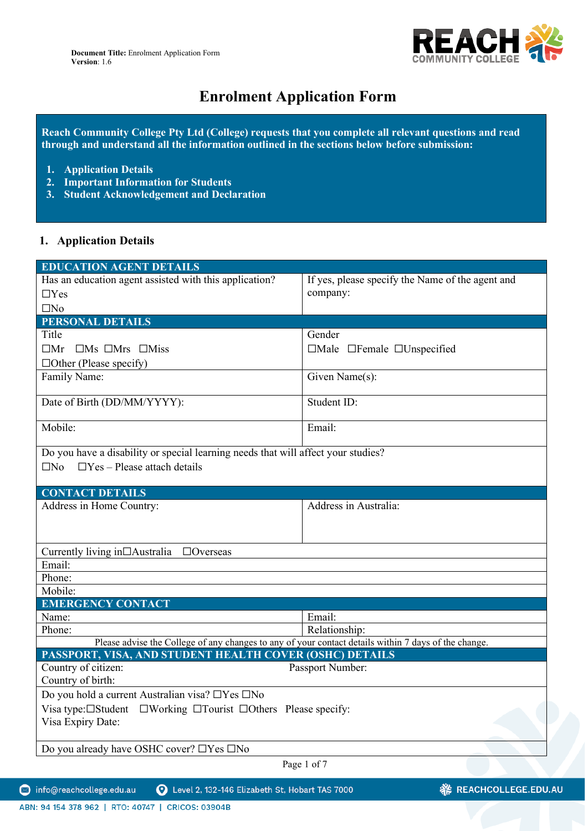

# **Enrolment Application Form**

**Reach Community College Pty Ltd (College) requests that you complete all relevant questions and read through and understand all the information outlined in the sections below before submission:**

- **1. Application Details**
- **2. Important Information for Students**
- **3. Student Acknowledgement and Declaration**

# **1. Application Details**

| <b>EDUCATION AGENT DETAILS</b>                                                                       |                                                  |  |  |  |
|------------------------------------------------------------------------------------------------------|--------------------------------------------------|--|--|--|
| Has an education agent assisted with this application?                                               | If yes, please specify the Name of the agent and |  |  |  |
| $\Box$ Yes                                                                                           | company:                                         |  |  |  |
| $\square$ No                                                                                         |                                                  |  |  |  |
| <b>PERSONAL DETAILS</b>                                                                              |                                                  |  |  |  |
| Title                                                                                                | Gender                                           |  |  |  |
| $\Box$ Mr $\Box$ Mrs $\Box$ Miss                                                                     | $\Box$ Male $\Box$ Female $\Box$ Unspecified     |  |  |  |
| $\Box$ Other (Please specify)                                                                        |                                                  |  |  |  |
| Family Name:                                                                                         | Given Name(s):                                   |  |  |  |
| Date of Birth (DD/MM/YYYY):                                                                          | Student ID:                                      |  |  |  |
| Mobile:                                                                                              | Email:                                           |  |  |  |
| Do you have a disability or special learning needs that will affect your studies?                    |                                                  |  |  |  |
| $\Box$ Yes – Please attach details<br>$\square$ No                                                   |                                                  |  |  |  |
|                                                                                                      |                                                  |  |  |  |
| <b>CONTACT DETAILS</b>                                                                               |                                                  |  |  |  |
| Address in Home Country:                                                                             | Address in Australia:                            |  |  |  |
|                                                                                                      |                                                  |  |  |  |
|                                                                                                      |                                                  |  |  |  |
| Currently living in□Australia □Overseas                                                              |                                                  |  |  |  |
| Email:                                                                                               |                                                  |  |  |  |
| Phone:                                                                                               |                                                  |  |  |  |
| Mobile:                                                                                              |                                                  |  |  |  |
| <b>EMERGENCY CONTACT</b>                                                                             |                                                  |  |  |  |
| Name:                                                                                                | Email:                                           |  |  |  |
| Phone:                                                                                               | Relationship:                                    |  |  |  |
| Please advise the College of any changes to any of your contact details within 7 days of the change. |                                                  |  |  |  |
| PASSPORT, VISA, AND STUDENT HEALTH COVER (OSHC) DETAILS                                              |                                                  |  |  |  |
| Country of citizen:                                                                                  | Passport Number:                                 |  |  |  |
| Country of birth:                                                                                    |                                                  |  |  |  |
| Do you hold a current Australian visa? □Yes □No                                                      |                                                  |  |  |  |
| Visa type: IStudent IWorking ITourist IOthers Please specify:                                        |                                                  |  |  |  |
| Visa Expiry Date:                                                                                    |                                                  |  |  |  |
|                                                                                                      |                                                  |  |  |  |
| Do you already have OSHC cover? □Yes □No                                                             |                                                  |  |  |  |
| Page 1 of 7                                                                                          |                                                  |  |  |  |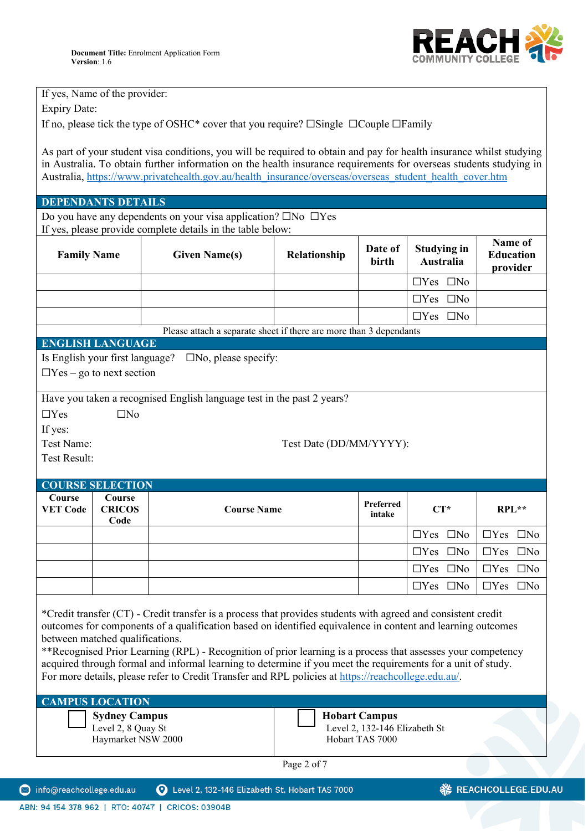

If yes, Name of the provider: Expiry Date:

If no, please tick the type of OSHC\* cover that you require? ☐Single ☐Couple ☐Family

As part of your student visa conditions, you will be required to obtain and pay for health insurance whilst studying in Australia. To obtain further information on the health insurance requirements for overseas students studying in Australia, [https://www.privatehealth.gov.au/health\\_insurance/overseas/overseas\\_student\\_health\\_cover.htm](https://www.privatehealth.gov.au/health_insurance/overseas/overseas_student_health_cover.htm)

#### **DEPENDANTS DETAILS**

Do you have any dependents on your visa application?  $\square$ No  $\square$ Yes If yes, please provide complete details in the table below:

|                           |                                 | If you, proase provide comprete actums in the taste service.           |                         |                     |                                        |                                         |
|---------------------------|---------------------------------|------------------------------------------------------------------------|-------------------------|---------------------|----------------------------------------|-----------------------------------------|
| <b>Family Name</b>        |                                 | <b>Given Name(s)</b>                                                   | Relationship            | Date of<br>birth    | <b>Studying in</b><br><b>Australia</b> | Name of<br><b>Education</b><br>provider |
|                           |                                 |                                                                        |                         |                     | $\Box$ Yes $\Box$ No                   |                                         |
|                           |                                 |                                                                        |                         |                     | $\Box$ Yes $\Box$ No                   |                                         |
|                           |                                 |                                                                        |                         |                     | $\Box$ Yes $\Box$ No                   |                                         |
|                           |                                 | Please attach a separate sheet if there are more than 3 dependants     |                         |                     |                                        |                                         |
|                           | <b>ENGLISH LANGUAGE</b>         |                                                                        |                         |                     |                                        |                                         |
|                           |                                 | Is English your first language? $\square$ No, please specify:          |                         |                     |                                        |                                         |
|                           | $\Box$ Yes – go to next section |                                                                        |                         |                     |                                        |                                         |
|                           |                                 | Have you taken a recognised English language test in the past 2 years? |                         |                     |                                        |                                         |
| $\Box$ Yes                | $\square$ No                    |                                                                        |                         |                     |                                        |                                         |
| If yes:                   |                                 |                                                                        |                         |                     |                                        |                                         |
| Test Name:                |                                 |                                                                        | Test Date (DD/MM/YYYY): |                     |                                        |                                         |
| <b>Test Result:</b>       |                                 |                                                                        |                         |                     |                                        |                                         |
|                           | <b>COURSE SELECTION</b>         |                                                                        |                         |                     |                                        |                                         |
| Course<br><b>VET Code</b> | Course<br><b>CRICOS</b><br>Code | <b>Course Name</b>                                                     |                         | Preferred<br>intake | $CT^*$                                 | $RPL**$                                 |
|                           |                                 |                                                                        |                         |                     | $\Box$ Yes $\Box$ No                   | $\Box$ Yes $\Box$ No                    |
|                           |                                 |                                                                        |                         |                     | $\Box$ Yes $\Box$ No                   | $\Box$ Yes $\Box$ No                    |
|                           |                                 |                                                                        |                         |                     | $\Box$ Yes $\Box$ No                   | $\Box$ Yes $\Box$ No                    |
|                           |                                 |                                                                        |                         |                     | $\Box$ Yes $\Box$ No                   | $\Box$ Yes $\Box$ No                    |

\*Credit transfer (CT) - Credit transfer is a process that provides students with agreed and consistent credit outcomes for components of a qualification based on identified equivalence in content and learning outcomes between matched qualifications.

\*\*Recognised Prior Learning (RPL) - Recognition of prior learning is a process that assesses your competency acquired through formal and informal learning to determine if you meet the requirements for a unit of study. For more details, please refer to Credit Transfer and RPL policies at [https://reachcollege.edu.au/.](https://reachcollege.edu.au/)

| <b>CAMPUS LOCATION</b>                                    |                                                                   |  |  |  |
|-----------------------------------------------------------|-------------------------------------------------------------------|--|--|--|
| Sydney Campus<br>Level 2, 8 Quay St<br>Haymarket NSW 2000 | Hobart Campus<br>Level 2, 132-146 Elizabeth St<br>Hobart TAS 7000 |  |  |  |

Page 2 of 7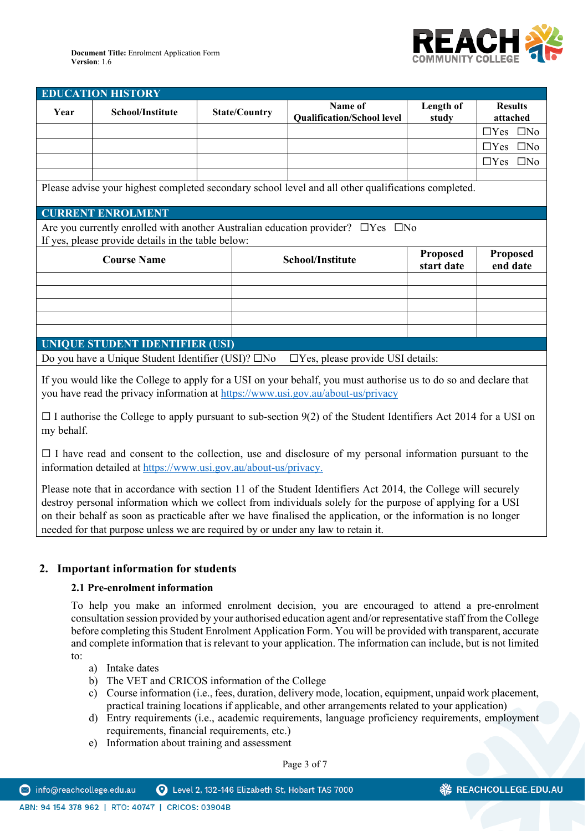

| <b>EDUCATION HISTORY</b>                                                                                                                          |                                        |                      |                                              |                             |                            |
|---------------------------------------------------------------------------------------------------------------------------------------------------|----------------------------------------|----------------------|----------------------------------------------|-----------------------------|----------------------------|
| Year                                                                                                                                              | School/Institute                       | <b>State/Country</b> | Name of<br><b>Qualification/School level</b> | Length of<br>study          | <b>Results</b><br>attached |
|                                                                                                                                                   |                                        |                      |                                              |                             | $\square$ No<br>$\Box$ Yes |
|                                                                                                                                                   |                                        |                      |                                              |                             | $\Box$ Yes<br>$\square$ No |
|                                                                                                                                                   |                                        |                      |                                              |                             | $\square$ No<br>$\Box$ Yes |
|                                                                                                                                                   |                                        |                      |                                              |                             |                            |
| Please advise your highest completed secondary school level and all other qualifications completed.                                               |                                        |                      |                                              |                             |                            |
|                                                                                                                                                   | <b>CURRENT ENROLMENT</b>               |                      |                                              |                             |                            |
| Are you currently enrolled with another Australian education provider? $\Box$ Yes $\Box$ No<br>If yes, please provide details in the table below: |                                        |                      |                                              |                             |                            |
|                                                                                                                                                   | <b>Course Name</b><br>School/Institute |                      | <b>Proposed</b><br>start date                | <b>Proposed</b><br>end date |                            |
|                                                                                                                                                   |                                        |                      |                                              |                             |                            |
|                                                                                                                                                   |                                        |                      |                                              |                             |                            |
|                                                                                                                                                   |                                        |                      |                                              |                             |                            |
|                                                                                                                                                   |                                        |                      |                                              |                             |                            |
|                                                                                                                                                   |                                        |                      |                                              |                             |                            |
| <b>UNIQUE STUDENT IDENTIFIER (USI)</b>                                                                                                            |                                        |                      |                                              |                             |                            |

Do you have a Unique Student Identifier (USI)? □No □Yes, please provide USI details:

If you would like the College to apply for a USI on your behalf, you must authorise us to do so and declare that you have read the privacy information at<https://www.usi.gov.au/about-us/privacy>

 $\Box$  I authorise the College to apply pursuant to sub-section 9(2) of the Student Identifiers Act 2014 for a USI on my behalf.

 $\Box$  I have read and consent to the collection, use and disclosure of my personal information pursuant to the information detailed at [https://www.usi.gov.au/about-us/privacy.](https://www.usi.gov.au/about-us/privacy)

Please note that in accordance with section 11 of the Student Identifiers Act 2014, the College will securely destroy personal information which we collect from individuals solely for the purpose of applying for a USI on their behalf as soon as practicable after we have finalised the application, or the information is no longer needed for that purpose unless we are required by or under any law to retain it.

# **2. Important information for students**

#### **2.1 Pre-enrolment information**

To help you make an informed enrolment decision, you are encouraged to attend a pre-enrolment consultation session provided by your authorised education agent and/or representative staff from the College before completing this Student Enrolment Application Form. You will be provided with transparent, accurate and complete information that is relevant to your application. The information can include, but is not limited to:

a) Intake dates

ABN: 94 154 378 962 | RTO: 40747 | CRICOS: 03904B

- b) The VET and CRICOS information of the College
- c) Course information (i.e., fees, duration, delivery mode, location, equipment, unpaid work placement, practical training locations if applicable, and other arrangements related to your application)
- d) Entry requirements (i.e., academic requirements, language proficiency requirements, employment requirements, financial requirements, etc.)
- e) Information about training and assessment

Page 3 of 7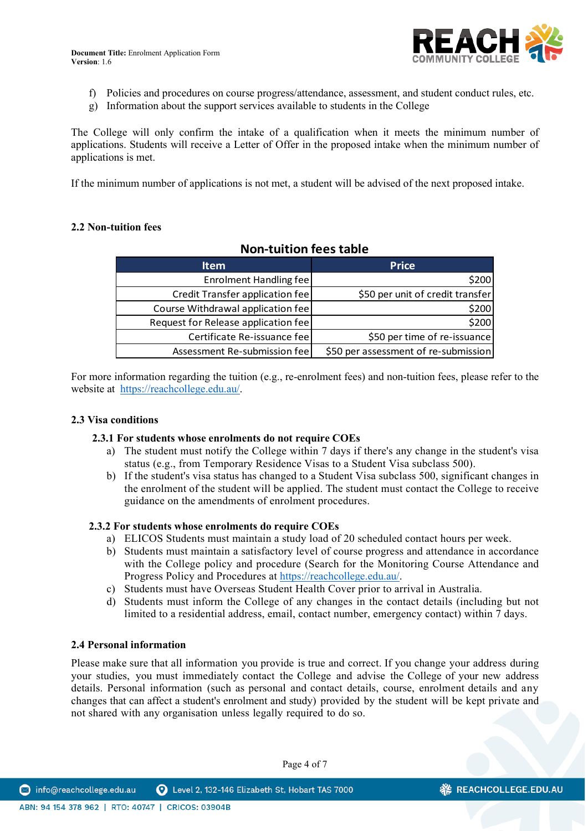

- f) Policies and procedures on course progress/attendance, assessment, and student conduct rules, etc.
- g) Information about the support services available to students in the College

The College will only confirm the intake of a qualification when it meets the minimum number of applications. Students will receive a Letter of Offer in the proposed intake when the minimum number of applications is met.

If the minimum number of applications is not met, a student will be advised of the next proposed intake.

# **2.2 Non-tuition fees**

# **Non-tuition fees table**

| <b>Item</b>                         | <b>Price</b>                         |
|-------------------------------------|--------------------------------------|
| <b>Enrolment Handling fee</b>       | \$200                                |
| Credit Transfer application fee     | \$50 per unit of credit transfer     |
| Course Withdrawal application fee   | \$200                                |
| Request for Release application fee | \$200                                |
| Certificate Re-issuance fee         | \$50 per time of re-issuance         |
| Assessment Re-submission fee        | \$50 per assessment of re-submission |

For more information regarding the tuition (e.g., re-enrolment fees) and non-tuition fees, please refer to the website at [https://reachcollege.edu.au/.](https://reachcollege.edu.au/)

#### **2.3 Visa conditions**

#### **2.3.1 For students whose enrolments do not require COEs**

- a) The student must notify the College within 7 days if there's any change in the student's visa status (e.g., from Temporary Residence Visas to a Student Visa subclass 500).
- b) If the student's visa status has changed to a Student Visa subclass 500, significant changes in the enrolment of the student will be applied. The student must contact the College to receive guidance on the amendments of enrolment procedures.

#### **2.3.2 For students whose enrolments do require COEs**

- a) ELICOS Students must maintain a study load of 20 scheduled contact hours per week.
- b) Students must maintain a satisfactory level of course progress and attendance in accordance with the College policy and procedure (Search for the Monitoring Course Attendance and Progress Policy and Procedures at [https://reachcollege.edu.au/.](https://reachcollege.edu.au/)
- c) Students must have Overseas Student Health Cover prior to arrival in Australia.
- d) Students must inform the College of any changes in the contact details (including but not limited to a residential address, email, contact number, emergency contact) within 7 days.

#### **2.4 Personal information**

Please make sure that all information you provide is true and correct. If you change your address during your studies, you must immediately contact the College and advise the College of your new address details. Personal information (such as personal and contact details, course, enrolment details and any changes that can affect a student's enrolment and study) provided by the student will be kept private and not shared with any organisation unless legally required to do so.

Page 4 of 7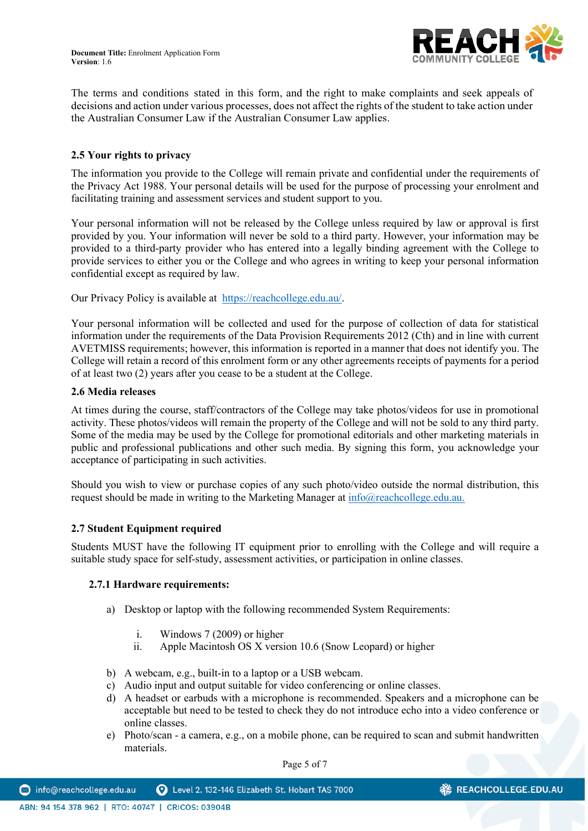

The terms and conditions stated in this form, and the right to make complaints and seek appeals of decisions and action under various processes, does not affect the rights of the student to take action under the Australian Consumer Law if the Australian Consumer Law applies.

# **2.5 Your rights to privacy**

The information you provide to the College will remain private and confidential under the requirements of the Privacy Act 1988. Your personal details will be used for the purpose of processing your enrolment and facilitating training and assessment services and student support to you.

Your personal information will not be released by the College unless required by law or approval is first provided by you. Your information will never be sold to a third party. However, your information may be provided to a third-party provider who has entered into a legally binding agreement with the College to provide services to either you or the College and who agrees in writing to keep your personal information confidential except as required by law.

Our Privacy Policy is available at [https://reachcollege.edu.au/.](https://reachcollege.edu.au/)

Your personal information will be collected and used for the purpose of collection of data for statistical information under the requirements of the Data Provision Requirements 2012 (Cth) and in line with current AVETMISS requirements; however, this information is reported in a manner that does not identify you. The College will retain a record of this enrolment form or any other agreements receipts of payments for a period of at least two (2) years after you cease to be a student at the College.

#### **2.6 Media releases**

At times during the course, staff/contractors of the College may take photos/videos for use in promotional activity. These photos/videos will remain the property of the College and will not be sold to any third party. Some of the media may be used by the College for promotional editorials and other marketing materials in public and professional publications and other such media. By signing this form, you acknowledge your acceptance of participating in such activities.

Should you wish to view or purchase copies of any such photo/video outside the normal distribution, this request should be made in writing to the Marketing Manager at [info@reachcollege.edu.au.](mailto:info@reachcollege.edu.au)

#### **2.7 Student Equipment required**

Students MUST have the following IT equipment prior to enrolling with the College and will require a suitable study space for self-study, assessment activities, or participation in online classes.

#### **2.7.1 Hardware requirements:**

- a) Desktop or laptop with the following recommended System Requirements:
	- i. Windows 7 (2009) or higher
	- ii. Apple Macintosh OS X version 10.6 (Snow Leopard) or higher
- b) A webcam, e.g., built-in to a laptop or a USB webcam.
- c) Audio input and output suitable for video conferencing or online classes.
- d) A headset or earbuds with a microphone is recommended. Speakers and a microphone can be acceptable but need to be tested to check they do not introduce echo into a video conference or online classes.
- e) Photo/scan a camera, e.g., on a mobile phone, can be required to scan and submit handwritten materials.

Page 5 of 7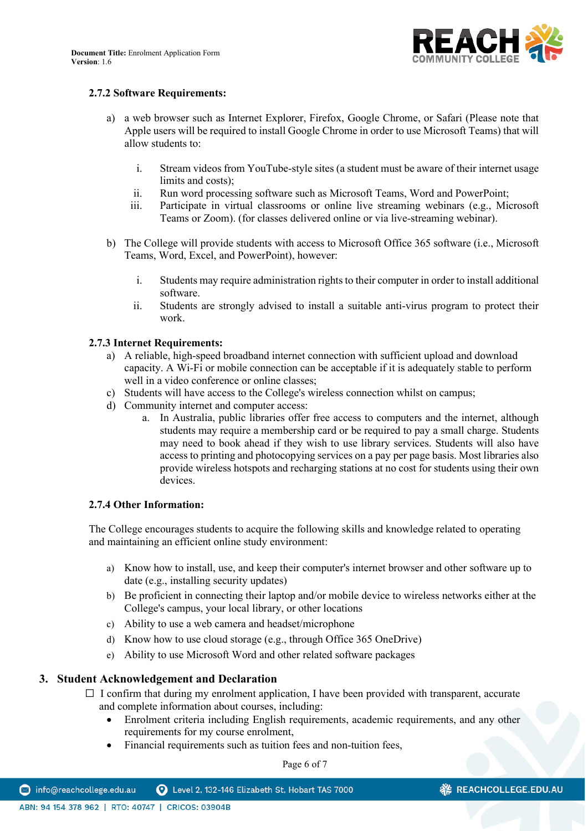

# **2.7.2 Software Requirements:**

- a) a web browser such as Internet Explorer, Firefox, Google Chrome, or Safari (Please note that Apple users will be required to install Google Chrome in order to use Microsoft Teams) that will allow students to:
	- i. Stream videos from YouTube-style sites (a student must be aware of their internet usage limits and costs);
	- ii. Run word processing software such as Microsoft Teams, Word and PowerPoint;
	- iii. Participate in virtual classrooms or online live streaming webinars (e.g., Microsoft Teams or Zoom). (for classes delivered online or via live-streaming webinar).
- b) The College will provide students with access to Microsoft Office 365 software (i.e., Microsoft Teams, Word, Excel, and PowerPoint), however:
	- i. Students may require administration rights to their computer in order to install additional software.
	- ii. Students are strongly advised to install a suitable anti-virus program to protect their work.

# **2.7.3 Internet Requirements:**

- a) A reliable, high-speed broadband internet connection with sufficient upload and download capacity. A Wi-Fi or mobile connection can be acceptable if it is adequately stable to perform well in a video conference or online classes;
- c) Students will have access to the College's wireless connection whilst on campus;
- d) Community internet and computer access:
	- a. In Australia, public libraries offer free access to computers and the internet, although students may require a membership card or be required to pay a small charge. Students may need to book ahead if they wish to use library services. Students will also have access to printing and photocopying services on a pay per page basis. Most libraries also provide wireless hotspots and recharging stations at no cost for students using their own devices.

#### **2.7.4 Other Information:**

The College encourages students to acquire the following skills and knowledge related to operating and maintaining an efficient online study environment:

- a) Know how to install, use, and keep their computer's internet browser and other software up to date (e.g., installing security updates)
- b) Be proficient in connecting their laptop and/or mobile device to wireless networks either at the College's campus, your local library, or other locations
- c) Ability to use a web camera and headset/microphone
- d) Know how to use cloud storage (e.g., through Office 365 OneDrive)
- e) Ability to use Microsoft Word and other related software packages

# **3. Student Acknowledgement and Declaration**

- $\Box$  I confirm that during my enrolment application, I have been provided with transparent, accurate and complete information about courses, including:
	- Enrolment criteria including English requirements, academic requirements, and any other requirements for my course enrolment,
	- Financial requirements such as tuition fees and non-tuition fees,

Page 6 of 7